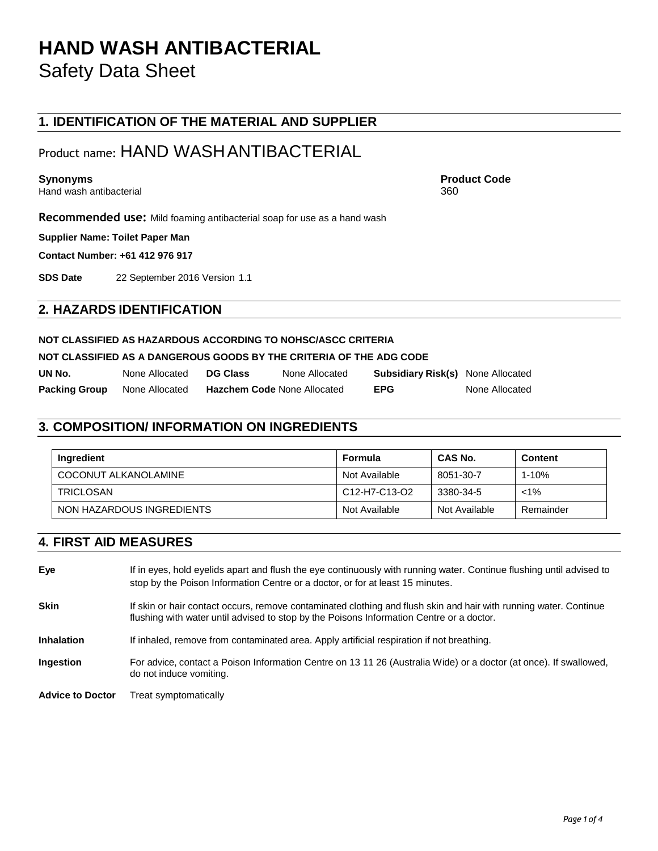## **HAND WASH ANTIBACTERIAL** Safety Data Sheet

## **1. IDENTIFICATION OF THE MATERIAL AND SUPPLIER**

## Product name: HAND WASHANTIBACTERIAL

Hand wash antibacterial 360

**Synonyms Product Code**

**Recommended use:** Mild foaming antibacterial soap for use as a hand wash

**Supplier Name: Toilet Paper Man**

**Contact Number: +61 412 976 917**

**SDS Date** 22 September 2016 Version 1.1

## **2. HAZARDS IDENTIFICATION**

### **NOT CLASSIFIED AS HAZARDOUS ACCORDING TO NOHSC/ASCC CRITERIA**

## **NOT CLASSIFIED AS A DANGEROUS GOODS BY THE CRITERIA OF THE ADG CODE**

| UN No.               | None Allocated | <b>DG Class</b>                    | None Allocated | <b>Subsidiary Risk(s)</b> None Allocated |                |
|----------------------|----------------|------------------------------------|----------------|------------------------------------------|----------------|
| <b>Packing Group</b> | None Allocated | <b>Hazchem Code None Allocated</b> |                | <b>EPG</b>                               | None Allocated |

## **3. COMPOSITION/ INFORMATION ON INGREDIENTS**

| Ingredient                | Formula       | CAS No.       | <b>Content</b> |
|---------------------------|---------------|---------------|----------------|
| COCONUT ALKANOLAMINE      | Not Available | 8051-30-7     | $1 - 10%$      |
| <b>TRICLOSAN</b>          | C12-H7-C13-O2 | 3380-34-5     | $< 1\%$        |
| NON HAZARDOUS INGREDIENTS | Not Available | Not Available | Remainder      |

## **4. FIRST AID MEASURES**

| Eye                     | If in eyes, hold eyelids apart and flush the eye continuously with running water. Continue flushing until advised to<br>stop by the Poison Information Centre or a doctor, or for at least 15 minutes.        |
|-------------------------|---------------------------------------------------------------------------------------------------------------------------------------------------------------------------------------------------------------|
| <b>Skin</b>             | If skin or hair contact occurs, remove contaminated clothing and flush skin and hair with running water. Continue<br>flushing with water until advised to stop by the Poisons Information Centre or a doctor. |
| <b>Inhalation</b>       | If inhaled, remove from contaminated area. Apply artificial respiration if not breathing.                                                                                                                     |
| <b>Ingestion</b>        | For advice, contact a Poison Information Centre on 13 11 26 (Australia Wide) or a doctor (at once). If swallowed,<br>do not induce vomiting.                                                                  |
| <b>Advice to Doctor</b> | Treat symptomatically                                                                                                                                                                                         |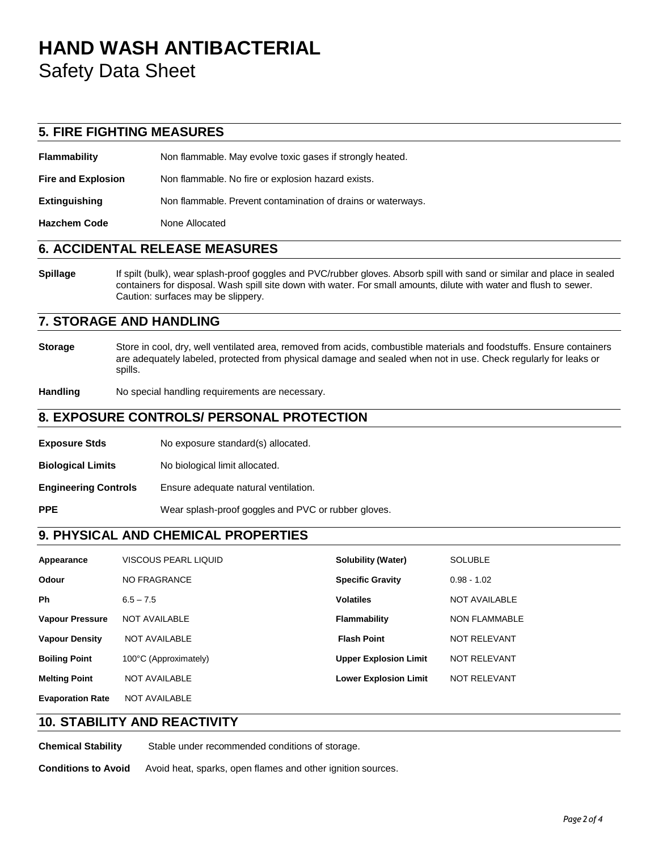# **HAND WASH ANTIBACTERIAL**

Safety Data Sheet

## **5. FIRE FIGHTING MEASURES**

**Flammability** Non flammable. May evolve toxic gases if strongly heated.

**Fire and Explosion** Non flammable. No fire or explosion hazard exists.

**Extinguishing** Non flammable. Prevent contamination of drains or waterways.

**Hazchem Code** None Allocated

## **6. ACCIDENTAL RELEASE MEASURES**

**Spillage** If spilt (bulk), wear splash-proof goggles and PVC/rubber gloves. Absorb spill with sand or similar and place in sealed containers for disposal. Wash spill site down with water. For small amounts, dilute with water and flush to sewer. Caution: surfaces may be slippery.

## **7. STORAGE AND HANDLING**

**Storage** Store in cool, dry, well ventilated area, removed from acids, combustible materials and foodstuffs. Ensure containers are adequately labeled, protected from physical damage and sealed when not in use. Check regularly for leaks or spills.

**Handling** No special handling requirements are necessary.

## **8. EXPOSURE CONTROLS/ PERSONAL PROTECTION**

| <b>Exposure Stds</b> | No exposure standard(s) allocated. |
|----------------------|------------------------------------|
|----------------------|------------------------------------|

**Biological Limits** No biological limit allocated.

**Engineering Controls** Ensure adequate natural ventilation.

**PPE** Wear splash-proof goggles and PVC or rubber gloves.

## **9. PHYSICAL AND CHEMICAL PROPERTIES**

| Appearance              | VISCOUS PEARL LIQUID  | <b>Solubility (Water)</b>    | <b>SOLUBLE</b>       |
|-------------------------|-----------------------|------------------------------|----------------------|
| <b>Odour</b>            | <b>NO FRAGRANCE</b>   | <b>Specific Gravity</b>      | $0.98 - 1.02$        |
| <b>Ph</b>               | $6.5 - 7.5$           | <b>Volatiles</b>             | <b>NOT AVAILABLE</b> |
| <b>Vapour Pressure</b>  | NOT AVAILABLE         | Flammability                 | <b>NON FLAMMABLE</b> |
| <b>Vapour Density</b>   | <b>NOT AVAILABLE</b>  | <b>Flash Point</b>           | <b>NOT RELEVANT</b>  |
| <b>Boiling Point</b>    | 100°C (Approximately) | <b>Upper Explosion Limit</b> | <b>NOT RELEVANT</b>  |
| <b>Melting Point</b>    | <b>NOT AVAILABLE</b>  | <b>Lower Explosion Limit</b> | <b>NOT RELEVANT</b>  |
| <b>Evaporation Rate</b> | NOT AVAILABLE         |                              |                      |

## **10. STABILITY AND REACTIVITY**

**Chemical Stability** Stable under recommended conditions of storage.

**Conditions to Avoid** Avoid heat, sparks, open flames and other ignition sources.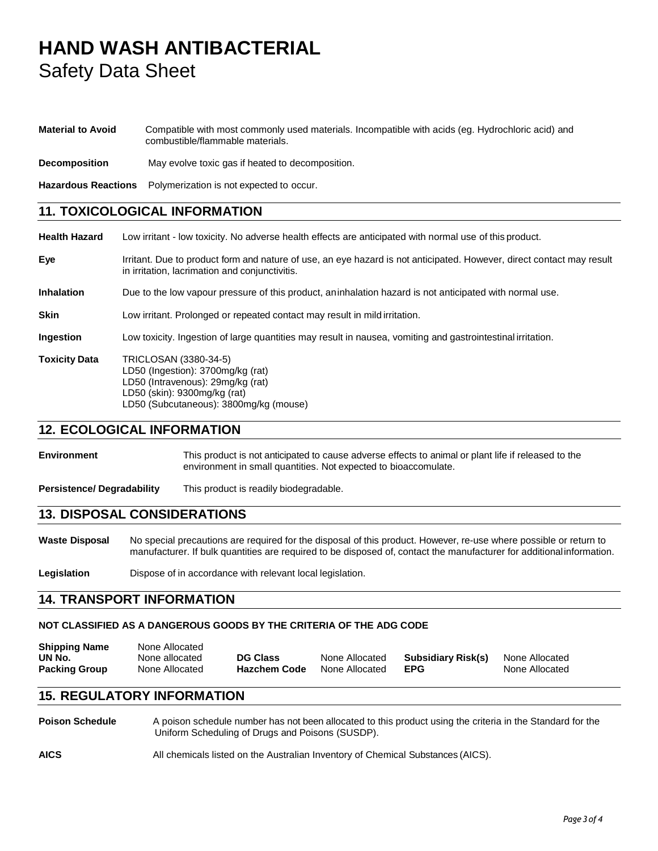## **HAND WASH ANTIBACTERIAL** Safety Data Sheet

#### **Material to Avoid** Compatible with most commonly used materials. Incompatible with acids (eg. Hydrochloric acid) and combustible/flammable materials.

**Decomposition** May evolve toxic gas if heated to decomposition.

**Hazardous Reactions** Polymerization is not expected to occur.

## **11. TOXICOLOGICAL INFORMATION**

**Health Hazard** Low irritant - low toxicity. No adverse health effects are anticipated with normal use of this product. **Eye** Irritant. Due to product form and nature of use, an eye hazard is not anticipated. However, direct contact may result in irritation, lacrimation and conjunctivitis. **Inhalation** Due to the low vapour pressure of this product, aninhalation hazard is not anticipated with normal use. **Skin** Low irritant. Prolonged or repeated contact may result in mild irritation. **Ingestion** Low toxicity. Ingestion of large quantities may result in nausea, vomiting and gastrointestinal irritation. **Toxicity Data** TRICLOSAN (3380-34-5) LD50 (Ingestion): 3700mg/kg (rat) LD50 (Intravenous): 29mg/kg (rat) LD50 (skin): 9300mg/kg (rat) LD50 (Subcutaneous): 3800mg/kg (mouse)

## **12. ECOLOGICAL INFORMATION**

**Environment** This product is not anticipated to cause adverse effects to animal or plant life if released to the environment in small quantities. Not expected to bioaccomulate.

**Persistence/ Degradability** This product is readily biodegradable.

## **13. DISPOSAL CONSIDERATIONS**

**Waste Disposal** No special precautions are required for the disposal of this product. However, re-use where possible or return to manufacturer. If bulk quantities are required to be disposed of, contact the manufacturer for additionalinformation.

Legislation **Dispose of in accordance with relevant local legislation.** 

### **14. TRANSPORT INFORMATION**

### **NOT CLASSIFIED AS A DANGEROUS GOODS BY THE CRITERIA OF THE ADG CODE**

| <b>Shipping Name</b> | None Allocated |                     |                |                    |                |
|----------------------|----------------|---------------------|----------------|--------------------|----------------|
| UN No.               | None allocated | <b>DG Class</b>     | None Allocated | Subsidiary Risk(s) | None Allocated |
| <b>Packing Group</b> | None Allocated | <b>Hazchem Code</b> | None Allocated | EPG                | None Allocated |

## **15. REGULATORY INFORMATION**

**Poison Schedule** A poison schedule number has not been allocated to this product using the criteria in the Standard for the Uniform Scheduling of Drugs and Poisons (SUSDP).

**AICS** All chemicals listed on the Australian Inventory of Chemical Substances (AICS).